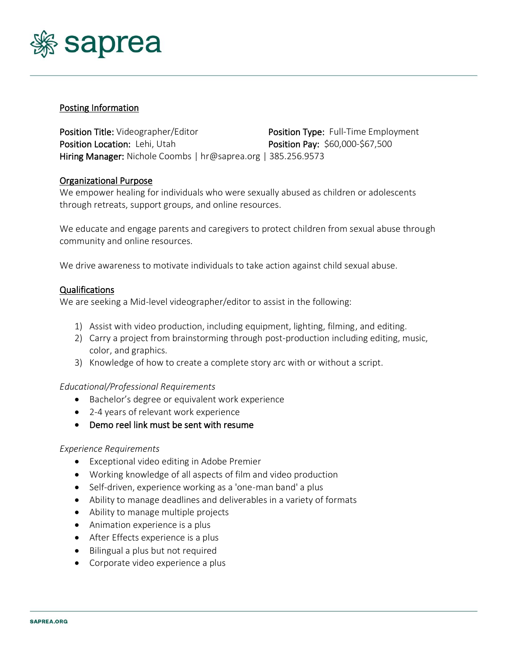

# Posting Information

Position Title: Videographer/Editor **Position Type:** Full-Time Employment Position Location: Lehi, Utah Position Pay: \$60,000-\$67,500 Hiring Manager: Nichole Coombs | hr@saprea.org | 385.256.9573

# Organizational Purpose

We empower healing for individuals who were sexually abused as children or adolescents through retreats, support groups, and online resources.

We educate and engage parents and caregivers to protect children from sexual abuse through community and online resources.

We drive awareness to motivate individuals to take action against child sexual abuse.

### Qualifications

We are seeking a Mid-level videographer/editor to assist in the following:

- 1) Assist with video production, including equipment, lighting, filming, and editing.
- 2) Carry a project from brainstorming through post-production including editing, music, color, and graphics.
- 3) Knowledge of how to create a complete story arc with or without a script.

### *Educational/Professional Requirements*

- Bachelor's degree or equivalent work experience
- 2-4 years of relevant work experience
- Demo reel link must be sent with resume

### *Experience Requirements*

- Exceptional video editing in Adobe Premier
- Working knowledge of all aspects of film and video production
- Self-driven, experience working as a 'one-man band' a plus
- Ability to manage deadlines and deliverables in a variety of formats
- Ability to manage multiple projects
- Animation experience is a plus
- After Effects experience is a plus
- Bilingual a plus but not required
- Corporate video experience a plus